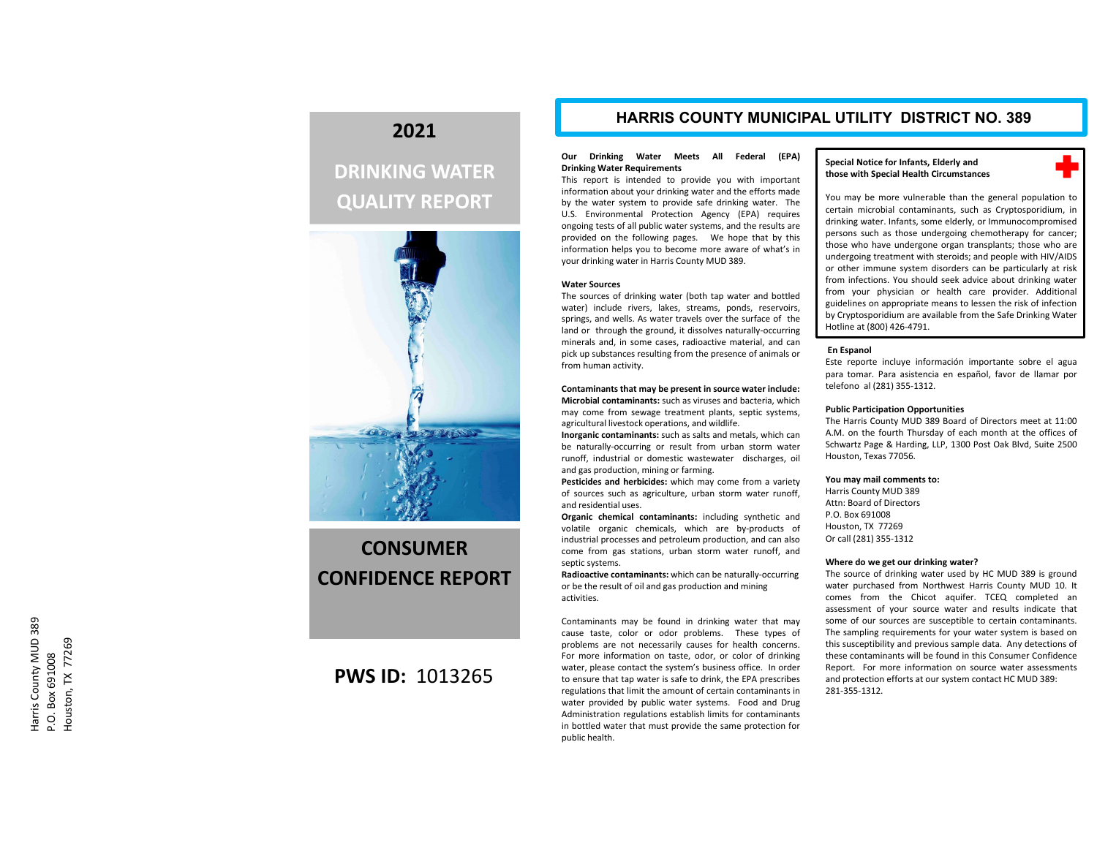## **2021**

# **DRINKING WATER QUALITY REPORT**



# **CONSUMERCONFIDENCE REPORT**

### **PWS ID:** 1013265

### **HARRIS COUNTY MUNICIPAL UTILITY DISTRICT NO. 389**

#### **Our Drinking Water Meets All Federal (EPA) Drinking Water Requirements**

This report is intended to provide you with important information about your drinking water and the efforts made by the water system to provide safe drinking water. The U.S. Environmental Protection Agency (EPA) requires ongoing tests of all public water systems, and the results are provided on the following pages. We hope that by this information helps you to become more aware of what's in your drinking water in Harris County MUD 389.

#### **Water Sources**

The sources of drinking water (both tap water and bottled water) include rivers, lakes, streams, ponds, reservoirs, springs, and wells. As water travels over the surface of the land or through the ground, it dissolves naturally‐occurring minerals and, in some cases, radioactive material, and can pick up substances resulting from the presence of animals or from human activity.

### **Contaminants that may be present in source water include: Microbial contaminants:** such as viruses and bacteria, which

may come from sewage treatment plants, septic systems, agricultural livestock operations, and wildlife. **Inorganic contaminants:** such as salts and metals, which can be naturally‐occurring or result from urban storm water

runoff, industrial or domestic wastewater discharges, oil and gas production, mining or farming.

**Pesticides and herbicides:** which may come from <sup>a</sup> variety of sources such as agriculture, urban storm water runoff, and residential uses.

**Organic chemical contaminants:** including synthetic and volatile organic chemicals, which are by‐products of industrial processes and petroleum production, and can also come from gas stations, urban storm water runoff, and septic systems.

**Radioactive contaminants:** which can be naturally‐occurring or be the result of oil and gas production and mining activities.

Contaminants may be found in drinking water that may cause taste, color or odor problems. These types of problems are not necessarily causes for health concerns. For more information on taste, odor, or color of drinking water, please contact the system's business office. In order to ensure that tap water is safe to drink, the EPA prescribes regulations that limit the amount of certain contaminants in water provided by public water systems. Food and Drug Administration regulations establish limits for contaminants in bottled water that must provide the same protection for public health.

#### **Special Notice for Infants, Elderly and those with Special Health Circumstances**



You may be more vulnerable than the general population to certain microbial contaminants, such as Cryptosporidium, in drinking water. Infants, some elderly, or Immunocompromised persons such as those undergoing chemotherapy for cancer; those who have undergone organ transplants; those who are undergoing treatment with steroids; and people with HIV/AIDS or other immune system disorders can be particularly at risk from infections. You should seek advice about drinking water from your physician or health care provider. Additional guidelines on appropriate means to lessen the risk of infection by Cryptosporidium are available from the Safe Drinking Water Hotline at (800) 426‐4791.

#### **En Espanol**

Este reporte incluye información importante sobre el agua para tomar. Para asistencia en español, favor de llamar por telefono al (281) 355‐1312.

#### **Public Participation Opportunities**

The Harris County MUD 389 Board of Directors meet at 11:00 A.M. on the fourth Thursday of each month at the offices of Schwartz Page & Harding, LLP, 1300 Post Oak Blvd, Suite 2500 Houston, Texas 77056.

#### **You may mail comments to:**

Harris County MUD 389 Attn: Board of DirectorsP.O. Box 691008 Houston, TX 77269 Or call (281) 355‐1312

#### **Where do we get our drinking water?**

The source of drinking water used by HC MUD 389 is ground water purchased from Northwest Harris County MUD 10. It comes from the Chicot aquifer. TCEQ completed an assessment of your source water and results indicate that some of our sources are susceptible to certain contaminants. The sampling requirements for your water system is based on this susceptibility and previous sample data. Any detections of these contaminants will be found in this Consumer ConfidenceReport. For more information on source water assessments and protection efforts at our system contact HC MUD 389: 281‐355‐1312.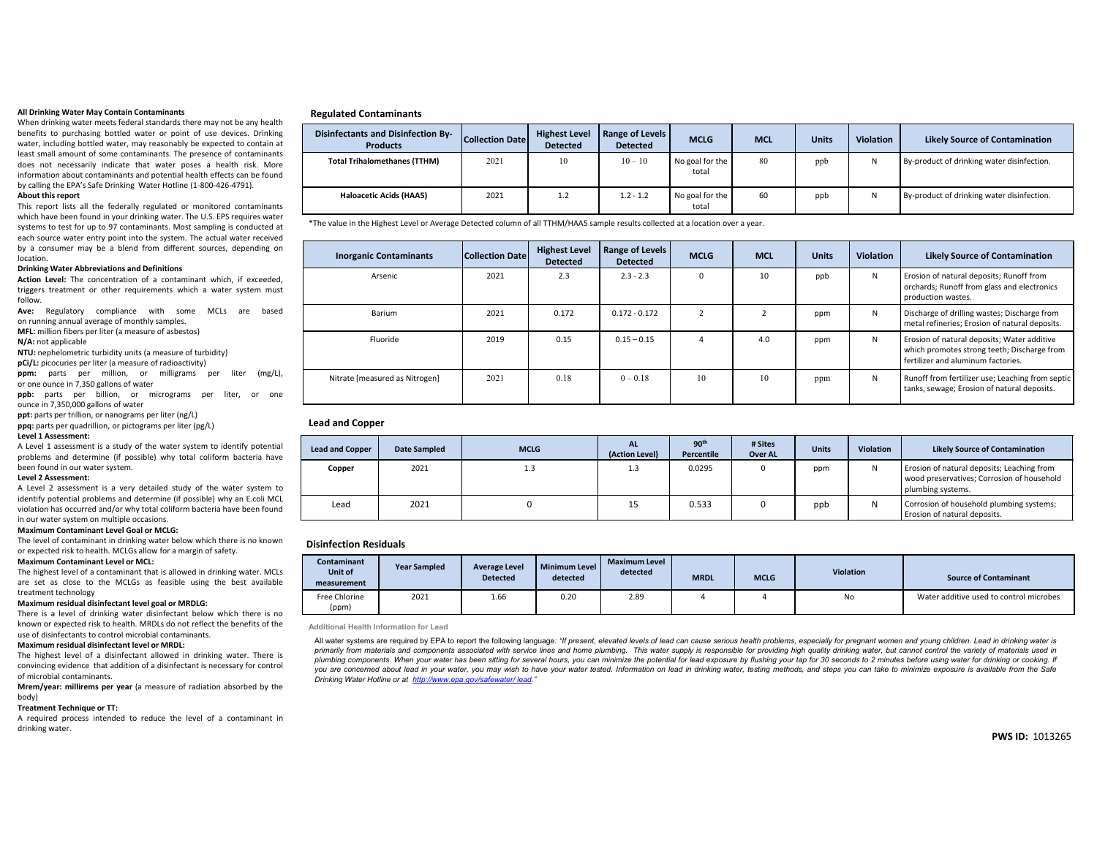#### **All Drinking Water May Contain Contaminants**

When drinking water meets federal standards there may not be any health benefits to purchasing bottled water or point of use devices. Drinking water, including bottled water, may reasonably be expected to contain at least small amount of some contaminants. The presence of contaminants does not necessarily indicate that water poses <sup>a</sup> health risk. More information about contaminants and potential health effects can be found by calling the EPA's Safe Drinking Water Hotline (1‐800‐426‐4791).

#### **About this report**

This report lists all the federally regulated or monitored contaminants which have been found in your drinking water. The U.S. EPS requires water systems to test for up to 97 contaminants. Most sampling is conducted at each source water entry point into the system. The actual water received by <sup>a</sup> consumer may be <sup>a</sup> blend from different sources, depending on location.

#### **Drinking Water Abbreviations and Definitions**

**Action Level:** The concentration of <sup>a</sup> contaminant which, if exceeded, triggers treatment or other requirements which <sup>a</sup> water system must follow.

**Ave:** Regulatory compliance with some MCLs are based on running annual average of monthly samples.

**MFL:** million fibers per liter (a measure of asbestos)

**N/A:** not applicable

**NTU:** nephelometric turbidity units (a measure of turbidity)

**pCi/L:** picocuries per liter (a measure of radioactivity)

**ppm:** parts per million, or milligrams per liter (mg/L), or one ounce in 7,350 gallons of water

**ppb:** parts per billion, or micrograms per liter, or one ounce in 7,350,000 gallons of water

**ppt:** parts per trillion, or nanograms per liter (ng/L)

**ppq:** parts per quadrillion, or pictograms per liter (pg/L) **Level 1 Assessment:**

A Level 1 assessment is <sup>a</sup> study of the water system to identify potential problems and determine (if possible) why total coliform bacteria have been found in our water system.

#### **Level 2 Assessment:**

A Level 2 assessment is <sup>a</sup> very detailed study of the water system to identify potential problems and determine (if possible) why an E.coli MCL violation has occurred and/or why total coliform bacteria have been found in our water system on multiple occasions.

**Maximum Contaminant Level Goal or MCLG:**

The level of contaminant in drinking water below which there is no known or expected risk to health. MCLGs allow for <sup>a</sup> margin of safety.

#### **Maximum Contaminant Level or MCL:**

The highest level of <sup>a</sup> contaminant that is allowed in drinking water. MCLs are set as close to the MCLGs as feasible using the best available treatment technology

#### **Maximum residual disinfectant level goal or MRDLG:**

There is <sup>a</sup> level of drinking water disinfectant below which there is no known or expected risk to health. MRDLs do not reflect the benefits of the use of disinfectants to control microbial contaminants.

#### **Maximum residual disinfectant level or MRDL:**

 The highest level of <sup>a</sup> disinfectant allowed in drinking water. There is convincing evidence that addition of <sup>a</sup> disinfectant is necessary for control of microbial contaminants.

 **Mrem/year: millirems per year** (a measure of radiation absorbed by the body)

#### **Treatment Technique or TT:**

A required process intended to reduce the level of <sup>a</sup> contaminant in drinking water.

#### **Regulated Contaminants**

| <b>Disinfectants and Disinfection By-</b><br><b>Products</b> | <b>Collection Date</b> | <b>Highest Level</b><br><b>Detected</b> | Range of Levels<br><b>Detected</b> | <b>MCLG</b>              | <b>MCL</b> | <b>Units</b> | <b>Violation</b> | <b>Likely Source of Contamination</b>      |
|--------------------------------------------------------------|------------------------|-----------------------------------------|------------------------------------|--------------------------|------------|--------------|------------------|--------------------------------------------|
| <b>Total Trihalomethanes (TTHM)</b>                          | 2021                   | 10                                      | $10 - 10$                          | No goal for the<br>total | 80         | ppb          |                  | By-product of drinking water disinfection. |
| <b>Haloacetic Acids (HAA5)</b>                               | 2021                   | 1.2                                     | $1.2 - 1.2$                        | No goal for the<br>total | 60         | ppb          |                  | By-product of drinking water disinfection. |

\*The value in the Highest Level or Average Detected column of all TTHM/HAA5 sample results collected at <sup>a</sup> location over <sup>a</sup> year.

| <b>Inorganic Contaminants</b>  | Collection Datel | <b>Highest Level</b><br><b>Detected</b> | Range of Levels<br><b>Detected</b> | <b>MCLG</b> | <b>MCL</b> | <b>Units</b> | <b>Violation</b> | <b>Likely Source of Contamination</b>                                                                                            |
|--------------------------------|------------------|-----------------------------------------|------------------------------------|-------------|------------|--------------|------------------|----------------------------------------------------------------------------------------------------------------------------------|
| Arsenic                        | 2021             | 2.3                                     | $2.3 - 2.3$                        | $\Omega$    | 10         | ppb          | N                | Erosion of natural deposits; Runoff from<br>orchards; Runoff from glass and electronics<br>production wastes.                    |
| Barium                         | 2021             | 0.172                                   | $0.172 - 0.172$                    |             |            | ppm          | N                | Discharge of drilling wastes; Discharge from<br>metal refineries; Erosion of natural deposits.                                   |
| Fluoride                       | 2019             | 0.15                                    | $0.15 - 0.15$                      | 4           | 4.0        | ppm          | N                | Erosion of natural deposits; Water additive<br>which promotes strong teeth; Discharge from<br>fertilizer and aluminum factories. |
| Nitrate [measured as Nitrogen] | 2021             | 0.18                                    | $0 - 0.18$                         | 10          | 10         | ppm          | N                | Runoff from fertilizer use; Leaching from septic<br>tanks, sewage; Erosion of natural deposits.                                  |

#### **Lead and Copper**

| <b>Lead and Copper</b> | <b>Date Sampled</b> | <b>MCLG</b> | <b>AL</b><br>(Action Level) | 90 <sup>th</sup><br>Percentile | # Sites<br><b>Over AL</b> | <b>Units</b> | <b>Violation</b> | <b>Likely Source of Contamination</b>                                                                         |
|------------------------|---------------------|-------------|-----------------------------|--------------------------------|---------------------------|--------------|------------------|---------------------------------------------------------------------------------------------------------------|
| Copper                 | 2021                | 1.3         | 1.3                         | 0.0295                         |                           | ppm          | ıν               | Erosion of natural deposits; Leaching from<br>wood preservatives; Corrosion of household<br>plumbing systems. |
| Lead                   | 2021                |             | 15                          | 0.533                          |                           | ppb          |                  | Corrosion of household plumbing systems;<br>Erosion of natural deposits.                                      |

#### **Disinfection Residuals**

| <b>Contaminant</b><br>Unit of<br>measurement | <b>Year Sampled</b> | <b>Average Level</b><br><b>Detected</b> | Minimum Level<br>detected | <b>Maximum Level</b><br>detected | <b>MRDL</b> | <b>MCLG</b> | <b>Violation</b> | <b>Source of Contaminant</b>            |
|----------------------------------------------|---------------------|-----------------------------------------|---------------------------|----------------------------------|-------------|-------------|------------------|-----------------------------------------|
| Free Chlorine<br>(ppm)                       | 2021                | 1.66                                    | 0.20                      | 2.89                             |             |             | No               | Water additive used to control microbes |

**Additional Health Information for Lead**

All water systems are required by EPA to report the following language: "If present, elevated levels of lead can cause serious health problems, especially for pregnant women and young children. Lead in drinking water is primarily from materials and components associated with service lines and home plumbing. This water supply is responsible for providing high quality drinking water, but cannot control the variety of materials used in plumbing components. When your water has been sitting for several hours, you can minimize the potential for lead exposure by flushing your tap for 30 seconds to 2 minutes before using water for drinking or cooking. If you are concerned about lead in your water, you may wish to have your water tested. Information on lead in drinking water, testing methods, and steps you can take to minimize exposure is available from the Safe *Drinking Water Hotline or at http://www.epa.gov/safewater/ lead."*